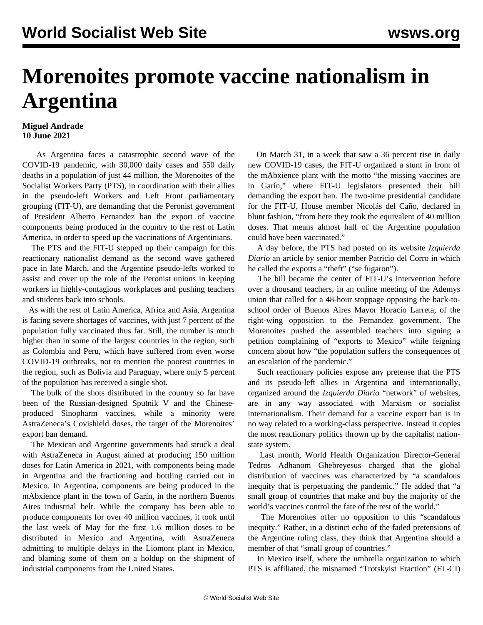## **Morenoites promote vaccine nationalism in Argentina**

## **Miguel Andrade 10 June 2021**

 As Argentina faces a catastrophic second wave of the COVID-19 pandemic, with 30,000 daily cases and 550 daily deaths in a population of just 44 million, the Morenoites of the Socialist Workers Party (PTS), in coordination with their allies in the pseudo-left Workers and Left Front parliamentary grouping (FIT-U), are demanding that the Peronist government of President Alberto Fernandez ban the export of vaccine components being produced in the country to the rest of Latin America, in order to speed up the vaccinations of Argentinians.

 The PTS and the FIT-U stepped up their campaign for this reactionary nationalist demand as the second wave gathered pace in late March, and the Argentine pseudo-lefts worked to assist and cover up the role of the Peronist unions in keeping workers in highly-contagious workplaces and pushing teachers and students back into schools.

 As with the rest of Latin America, Africa and Asia, Argentina is facing severe shortages of vaccines, with just 7 percent of the population fully vaccinated thus far. Still, the number is much higher than in some of the largest countries in the region, such as Colombia and Peru, which have suffered from even worse COVID-19 outbreaks, not to mention the poorest countries in the region, such as Bolivia and Paraguay, where only 5 percent of the population has received a single shot.

 The bulk of the shots distributed in the country so far have been of the Russian-designed Sputnik V and the Chineseproduced Sinopharm vaccines, while a minority were AstraZeneca's Covishield doses, the target of the Morenoites' export ban demand.

 The Mexican and Argentine governments had struck a deal with AstraZeneca in August aimed at producing 150 million doses for Latin America in 2021, with components being made in Argentina and the fractioning and bottling carried out in Mexico. In Argentina, components are being produced in the mAbxience plant in the town of Garín, in the northern Buenos Aires industrial belt. While the company has been able to produce components for over 40 million vaccines, it took until the last week of May for the first 1.6 million doses to be distributed in Mexico and Argentina, with AstraZeneca admitting to multiple delays in the Liomont plant in Mexico, and blaming some of them on a holdup on the shipment of industrial components from the United States.

 On March 31, in a week that saw a 36 percent rise in daily new COVID-19 cases, the FIT-U organized a stunt in front of the mAbxience plant with the motto "the missing vaccines are in Garín," where FIT-U legislators presented their bill demanding the export ban. The two-time presidential candidate for the FIT-U, House member Nicolás del Caño, declared in blunt fashion, "from here they took the equivalent of 40 million doses. That means almost half of the Argentine population could have been vaccinated."

 A day before, the PTS had posted on its website *Izquierda Diario* an article by senior member Patricio del Corro in which he called the exports a "theft" ("se fugaron").

 The bill became the center of FIT-U's intervention before over a thousand teachers, in an online meeting of the Ademys union that called for a 48-hour stoppage opposing the back-toschool order of Buenos Aires Mayor Horacio Larreta, of the right-wing opposition to the Fernandez government. The Morenoites pushed the assembled teachers into signing a petition complaining of "exports to Mexico" while feigning concern about how "the population suffers the consequences of an escalation of the pandemic."

 Such reactionary policies expose any pretense that the PTS and its pseudo-left allies in Argentina and internationally, organized around the *Izquierda Diario* "network" of websites, are in any way associated with Marxism or socialist internationalism. Their demand for a vaccine export ban is in no way related to a working-class perspective. Instead it copies the most reactionary politics thrown up by the capitalist nationstate system.

 Last month, World Health Organization Director-General Tedros Adhanom Ghebreyesus charged that the global distribution of vaccines was characterized by "a scandalous inequity that is perpetuating the pandemic." He added that "a small group of countries that make and buy the majority of the world's vaccines control the fate of the rest of the world."

 The Morenoites offer no opposition to this "scandalous inequity." Rather, in a distinct echo of the faded pretensions of the Argentine ruling class, they think that Argentina should a member of that "small group of countries."

 In Mexico itself, where the umbrella organization to which PTS is affiliated, the misnamed "Trotskyist Fraction" (FT-CI)